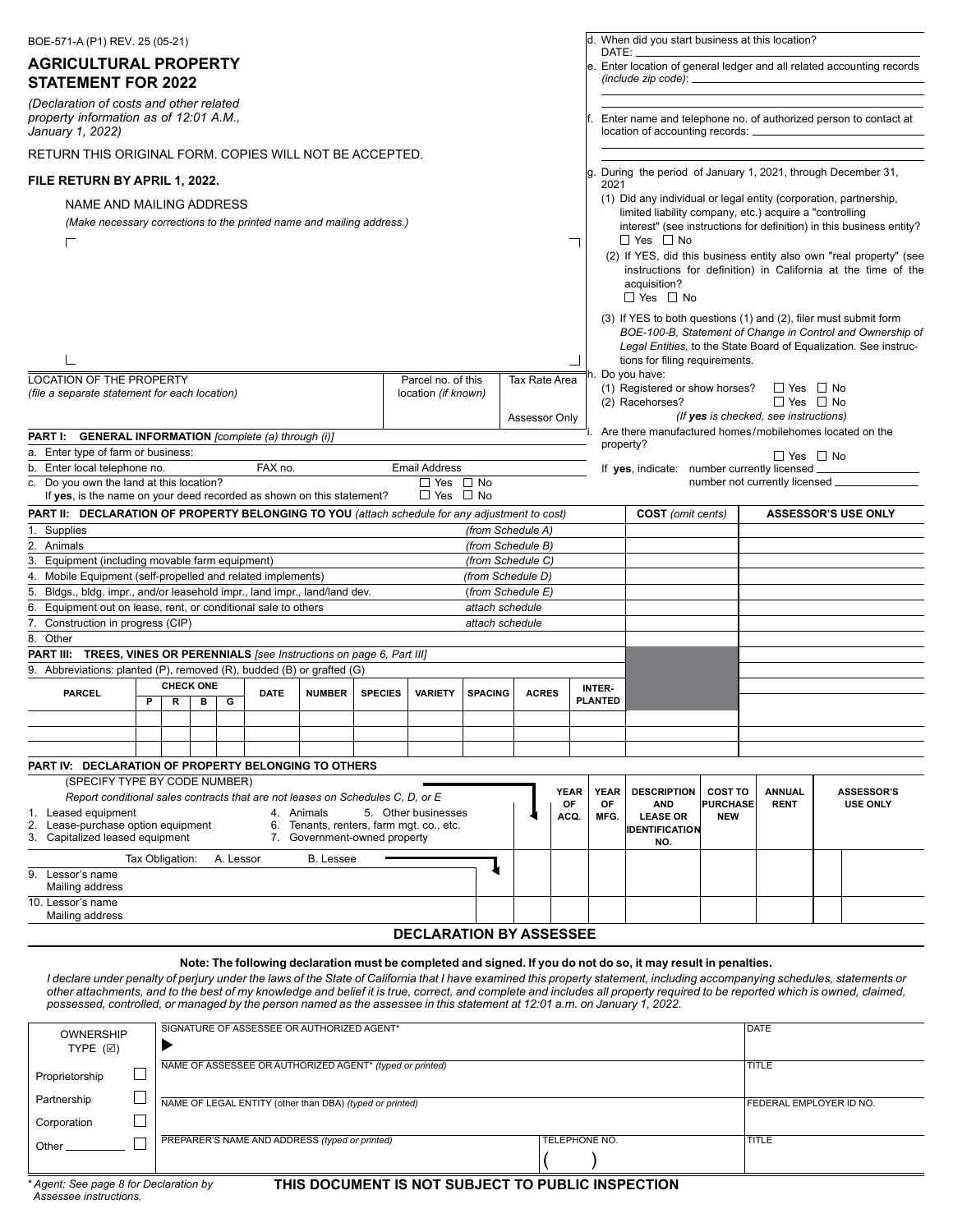| BOE-571-A (P1) REV. 25 (05-21)                                                                                                                                                                                                                                                                                                                                                                                                                                                                                                                                                                          |                                                                                                                 |                                        |                                |                                  | d. When did you start business at this location?                                                                                                                                             |                                                 |                                                                                       |  |                                                                                                                                                                                                             |
|---------------------------------------------------------------------------------------------------------------------------------------------------------------------------------------------------------------------------------------------------------------------------------------------------------------------------------------------------------------------------------------------------------------------------------------------------------------------------------------------------------------------------------------------------------------------------------------------------------|-----------------------------------------------------------------------------------------------------------------|----------------------------------------|--------------------------------|----------------------------------|----------------------------------------------------------------------------------------------------------------------------------------------------------------------------------------------|-------------------------------------------------|---------------------------------------------------------------------------------------|--|-------------------------------------------------------------------------------------------------------------------------------------------------------------------------------------------------------------|
| <b>AGRICULTURAL PROPERTY</b><br><b>STATEMENT FOR 2022</b>                                                                                                                                                                                                                                                                                                                                                                                                                                                                                                                                               | DATE:<br>e. Enter location of general ledger and all related accounting records<br>(include zip code): $\equiv$ |                                        |                                |                                  |                                                                                                                                                                                              |                                                 |                                                                                       |  |                                                                                                                                                                                                             |
| (Declaration of costs and other related<br>property information as of 12:01 A.M.,<br>January 1, 2022)                                                                                                                                                                                                                                                                                                                                                                                                                                                                                                   | Enter name and telephone no. of authorized person to contact at<br>location of accounting records: _            |                                        |                                |                                  |                                                                                                                                                                                              |                                                 |                                                                                       |  |                                                                                                                                                                                                             |
| RETURN THIS ORIGINAL FORM. COPIES WILL NOT BE ACCEPTED.                                                                                                                                                                                                                                                                                                                                                                                                                                                                                                                                                 |                                                                                                                 |                                        |                                |                                  |                                                                                                                                                                                              |                                                 |                                                                                       |  |                                                                                                                                                                                                             |
| FILE RETURN BY APRIL 1, 2022.                                                                                                                                                                                                                                                                                                                                                                                                                                                                                                                                                                           |                                                                                                                 |                                        |                                | 2021                             | g. During the period of January 1, 2021, through December 31,                                                                                                                                |                                                 |                                                                                       |  |                                                                                                                                                                                                             |
| NAME AND MAILING ADDRESS<br>(Make necessary corrections to the printed name and mailing address.)<br>Г                                                                                                                                                                                                                                                                                                                                                                                                                                                                                                  |                                                                                                                 |                                        |                                |                                  | (1) Did any individual or legal entity (corporation, partnership,<br>limited liability company, etc.) acquire a "controlling<br>$\Box$ Yes $\Box$ No<br>acquisition?<br>$\Box$ Yes $\Box$ No |                                                 |                                                                                       |  | interest" (see instructions for definition) in this business entity?<br>(2) If YES, did this business entity also own "real property" (see<br>instructions for definition) in California at the time of the |
|                                                                                                                                                                                                                                                                                                                                                                                                                                                                                                                                                                                                         |                                                                                                                 |                                        |                                |                                  | (3) If YES to both questions (1) and (2), filer must submit form<br>Legal Entities, to the State Board of Equalization. See instruc-<br>tions for filing requirements.                       |                                                 |                                                                                       |  | BOE-100-B, Statement of Change in Control and Ownership of                                                                                                                                                  |
| <b>LOCATION OF THE PROPERTY</b><br>(file a separate statement for each location)                                                                                                                                                                                                                                                                                                                                                                                                                                                                                                                        | Parcel no. of this<br>location (if known)                                                                       |                                        | Tax Rate Area<br>Assessor Only |                                  | h. Do you have:<br>(1) Registered or show horses?<br>(2) Racehorses?                                                                                                                         |                                                 | $\Box$ Yes $\Box$ No<br>$\Box$ Yes $\Box$ No<br>(If yes is checked, see instructions) |  |                                                                                                                                                                                                             |
| <b>PART I:</b> GENERAL INFORMATION [complete (a) through (i)]                                                                                                                                                                                                                                                                                                                                                                                                                                                                                                                                           |                                                                                                                 |                                        |                                | property?                        | Are there manufactured homes/mobilehomes located on the                                                                                                                                      |                                                 |                                                                                       |  |                                                                                                                                                                                                             |
| a. Enter type of farm or business:                                                                                                                                                                                                                                                                                                                                                                                                                                                                                                                                                                      |                                                                                                                 |                                        |                                |                                  |                                                                                                                                                                                              |                                                 | $\Box$ Yes $\Box$ No                                                                  |  |                                                                                                                                                                                                             |
| b. Enter local telephone no.<br>FAX no.<br>c. Do you own the land at this location?                                                                                                                                                                                                                                                                                                                                                                                                                                                                                                                     | <b>Email Address</b><br>$\Box$ Yes $\Box$ No                                                                    |                                        |                                |                                  | If yes, indicate: number currently licensed.                                                                                                                                                 |                                                 | number not currently licensed                                                         |  |                                                                                                                                                                                                             |
| If yes, is the name on your deed recorded as shown on this statement?                                                                                                                                                                                                                                                                                                                                                                                                                                                                                                                                   | $\Box$ Yes $\Box$ No                                                                                            |                                        |                                |                                  |                                                                                                                                                                                              |                                                 |                                                                                       |  |                                                                                                                                                                                                             |
| PART II: DECLARATION OF PROPERTY BELONGING TO YOU (attach schedule for any adjustment to cost)                                                                                                                                                                                                                                                                                                                                                                                                                                                                                                          |                                                                                                                 |                                        |                                |                                  | <b>COST</b> (omit cents)                                                                                                                                                                     |                                                 |                                                                                       |  | <b>ASSESSOR'S USE ONLY</b>                                                                                                                                                                                  |
| 1. Supplies                                                                                                                                                                                                                                                                                                                                                                                                                                                                                                                                                                                             |                                                                                                                 | (from Schedule A)                      |                                |                                  |                                                                                                                                                                                              |                                                 |                                                                                       |  |                                                                                                                                                                                                             |
| 2. Animals                                                                                                                                                                                                                                                                                                                                                                                                                                                                                                                                                                                              |                                                                                                                 | (from Schedule B)                      |                                |                                  |                                                                                                                                                                                              |                                                 |                                                                                       |  |                                                                                                                                                                                                             |
| 3. Equipment (including movable farm equipment)<br>4. Mobile Equipment (self-propelled and related implements)                                                                                                                                                                                                                                                                                                                                                                                                                                                                                          |                                                                                                                 | (from Schedule C)<br>(from Schedule D) |                                |                                  |                                                                                                                                                                                              |                                                 |                                                                                       |  |                                                                                                                                                                                                             |
| 5. Bldgs., bldg. impr., and/or leasehold impr., land impr., land/land dev.                                                                                                                                                                                                                                                                                                                                                                                                                                                                                                                              |                                                                                                                 | (from Schedule E)                      |                                |                                  |                                                                                                                                                                                              |                                                 |                                                                                       |  |                                                                                                                                                                                                             |
| 6. Equipment out on lease, rent, or conditional sale to others                                                                                                                                                                                                                                                                                                                                                                                                                                                                                                                                          |                                                                                                                 | attach schedule                        |                                |                                  |                                                                                                                                                                                              |                                                 |                                                                                       |  |                                                                                                                                                                                                             |
| 7. Construction in progress (CIP)                                                                                                                                                                                                                                                                                                                                                                                                                                                                                                                                                                       |                                                                                                                 | attach schedule                        |                                |                                  |                                                                                                                                                                                              |                                                 |                                                                                       |  |                                                                                                                                                                                                             |
| 8. Other                                                                                                                                                                                                                                                                                                                                                                                                                                                                                                                                                                                                |                                                                                                                 |                                        |                                |                                  |                                                                                                                                                                                              |                                                 |                                                                                       |  |                                                                                                                                                                                                             |
| PART III: TREES, VINES OR PERENNIALS [see Instructions on page 6, Part III]<br>9. Abbreviations: planted (P), removed (R), budded (B) or grafted (G)                                                                                                                                                                                                                                                                                                                                                                                                                                                    |                                                                                                                 |                                        |                                |                                  |                                                                                                                                                                                              |                                                 |                                                                                       |  |                                                                                                                                                                                                             |
| <b>CHECK ONE</b>                                                                                                                                                                                                                                                                                                                                                                                                                                                                                                                                                                                        |                                                                                                                 |                                        |                                | <b>INTER-</b>                    |                                                                                                                                                                                              |                                                 |                                                                                       |  |                                                                                                                                                                                                             |
| <b>PARCEL</b><br><b>DATE</b><br><b>NUMBER</b><br><b>SPECIES</b><br>G<br>P<br>R<br>в                                                                                                                                                                                                                                                                                                                                                                                                                                                                                                                     | <b>VARIETY</b>                                                                                                  | <b>SPACING</b>                         | <b>ACRES</b>                   | <b>PLANTED</b>                   |                                                                                                                                                                                              |                                                 |                                                                                       |  |                                                                                                                                                                                                             |
|                                                                                                                                                                                                                                                                                                                                                                                                                                                                                                                                                                                                         |                                                                                                                 |                                        |                                |                                  |                                                                                                                                                                                              |                                                 |                                                                                       |  |                                                                                                                                                                                                             |
|                                                                                                                                                                                                                                                                                                                                                                                                                                                                                                                                                                                                         |                                                                                                                 |                                        |                                |                                  |                                                                                                                                                                                              |                                                 |                                                                                       |  |                                                                                                                                                                                                             |
|                                                                                                                                                                                                                                                                                                                                                                                                                                                                                                                                                                                                         |                                                                                                                 |                                        |                                |                                  |                                                                                                                                                                                              |                                                 |                                                                                       |  |                                                                                                                                                                                                             |
| <b>PART IV: DECLARATION OF PROPERTY BELONGING TO OTHERS</b><br>(SPECIFY TYPE BY CODE NUMBER)                                                                                                                                                                                                                                                                                                                                                                                                                                                                                                            |                                                                                                                 |                                        |                                |                                  |                                                                                                                                                                                              |                                                 |                                                                                       |  |                                                                                                                                                                                                             |
| Report conditional sales contracts that are not leases on Schedules C, D, or E<br>1. Leased equipment<br>4. Animals<br>2.<br>Lease-purchase option equipment<br>6.<br>Tenants, renters, farm mot, co., etc.<br>Capitalized leased equipment<br>7. Government-owned property<br>3.                                                                                                                                                                                                                                                                                                                       | 5. Other businesses                                                                                             |                                        | <b>YEAR</b><br>ОF<br>ACQ.      | <b>YEAR</b><br><b>OF</b><br>MFG. | <b>DESCRIPTION</b><br><b>AND</b><br><b>LEASE OR</b><br><b>IDENTIFICATION</b><br>NO.                                                                                                          | <b>COST TO</b><br><b>PURCHASE</b><br><b>NEW</b> | <b>ANNUAL</b><br><b>RENT</b>                                                          |  | <b>ASSESSOR'S</b><br><b>USE ONLY</b>                                                                                                                                                                        |
| Tax Obligation:<br>A. Lessor<br><b>B.</b> Lessee                                                                                                                                                                                                                                                                                                                                                                                                                                                                                                                                                        |                                                                                                                 |                                        |                                |                                  |                                                                                                                                                                                              |                                                 |                                                                                       |  |                                                                                                                                                                                                             |
| 9. Lessor's name<br>Mailing address                                                                                                                                                                                                                                                                                                                                                                                                                                                                                                                                                                     |                                                                                                                 |                                        |                                |                                  |                                                                                                                                                                                              |                                                 |                                                                                       |  |                                                                                                                                                                                                             |
| 10. Lessor's name<br>Mailing address                                                                                                                                                                                                                                                                                                                                                                                                                                                                                                                                                                    |                                                                                                                 |                                        |                                |                                  |                                                                                                                                                                                              |                                                 |                                                                                       |  |                                                                                                                                                                                                             |
|                                                                                                                                                                                                                                                                                                                                                                                                                                                                                                                                                                                                         | <b>DECLARATION BY ASSESSEE</b>                                                                                  |                                        |                                |                                  |                                                                                                                                                                                              |                                                 |                                                                                       |  |                                                                                                                                                                                                             |
| Note: The following declaration must be completed and signed. If you do not do so, it may result in penalties.<br>I declare under penalty of perjury under the laws of the State of California that I have examined this property statement, including accompanying schedules, statements or<br>other attachments, and to the best of my knowledge and belief it is true, correct, and complete and includes all property required to be reported which is owned, claimed,<br>possessed, controlled, or managed by the person named as the assessee in this statement at 12:01 a.m. on January 1, 2022. |                                                                                                                 |                                        |                                |                                  |                                                                                                                                                                                              |                                                 |                                                                                       |  |                                                                                                                                                                                                             |

| <b>OWNERSHIP</b><br>TYPE $(\boxtimes)$                                                       |              | SIGNATURE OF ASSESSEE OR AUTHORIZED AGENT*               | DATE                           |              |  |  |  |  |
|----------------------------------------------------------------------------------------------|--------------|----------------------------------------------------------|--------------------------------|--------------|--|--|--|--|
| Proprietorship                                                                               | <b>TITLE</b> |                                                          |                                |              |  |  |  |  |
| Partnership                                                                                  |              | NAME OF LEGAL ENTITY (other than DBA) (typed or printed) | <b>FEDERAL EMPLOYER ID NO.</b> |              |  |  |  |  |
| Corporation                                                                                  |              |                                                          |                                |              |  |  |  |  |
| Other                                                                                        |              | PREPARER'S NAME AND ADDRESS (typed or printed)           | TELEPHONE NO.                  | <b>TITLE</b> |  |  |  |  |
|                                                                                              |              |                                                          |                                |              |  |  |  |  |
| * Agent: See nage 8 for Declaration by<br>THIS DOCUMENT IS NOT SUP JECT TO BURLIC INSPECTION |              |                                                          |                                |              |  |  |  |  |

**THIS DOCUMENT IS NOT SUBJECT TO PUBLIC INSPECTION**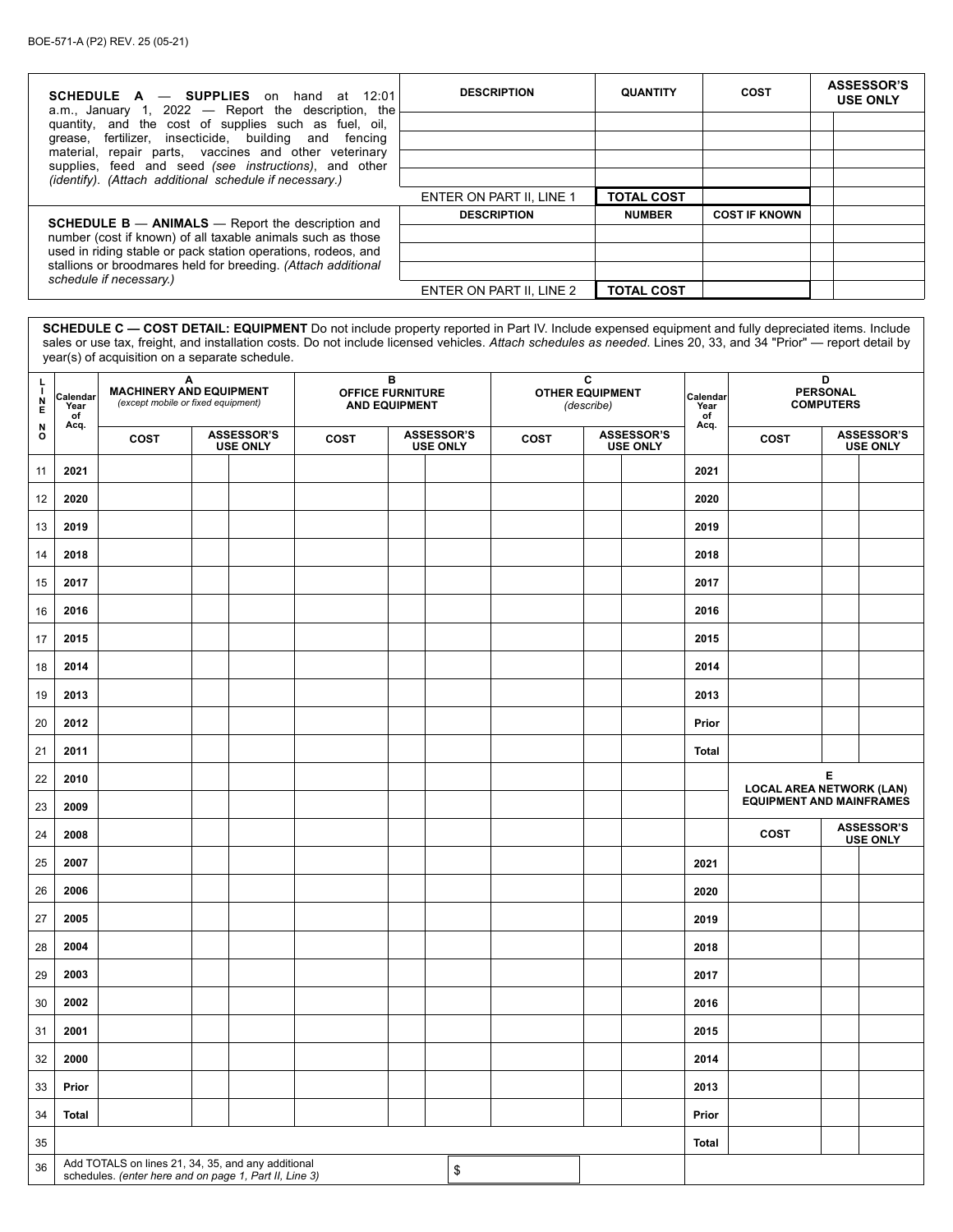| <b>SCHEDULE A <math>-</math> SUPPLIES</b> on hand at 12:01<br>a.m., January 1, 2022 - Report the description, the | <b>DESCRIPTION</b>       | <b>QUANTITY</b>   | COST                 | <b>ASSESSOR'S</b><br><b>USE ONLY</b> |
|-------------------------------------------------------------------------------------------------------------------|--------------------------|-------------------|----------------------|--------------------------------------|
| quantity, and the cost of supplies such as fuel, oil,                                                             |                          |                   |                      |                                      |
| fertilizer, insecticide, building and fencing<br>grease,<br>material, repair parts, vaccines and other veterinary |                          |                   |                      |                                      |
| supplies, feed and seed (see <i>instructions</i> ), and other                                                     |                          |                   |                      |                                      |
| (identify). (Attach additional schedule if necessary.)                                                            |                          |                   |                      |                                      |
|                                                                                                                   | ENTER ON PART II. LINE 1 | <b>TOTAL COST</b> |                      |                                      |
| <b>SCHEDULE B <math>-</math> ANIMALS</b> $-$ Report the description and                                           | <b>DESCRIPTION</b>       | <b>NUMBER</b>     | <b>COST IF KNOWN</b> |                                      |
| number (cost if known) of all taxable animals such as those                                                       |                          |                   |                      |                                      |
| used in riding stable or pack station operations, rodeos, and                                                     |                          |                   |                      |                                      |
| stallions or broodmares held for breeding. (Attach additional<br>schedule if necessary.)                          |                          |                   |                      |                                      |
|                                                                                                                   | ENTER ON PART II, LINE 2 | <b>TOTAL COST</b> |                      |                                      |

**SCHEDULE C — COST DETAIL: EQUIPMENT** Do not include property reported in Part IV. Include expensed equipment and fully depreciated items. Include sales or use tax, freight, and installation costs. Do not include licensed vehicles. *Attach schedules as needed*. Lines 20, 33, and 34 "Prior" — report detail by year(s) of acquisition on a separate schedule.

| 투<br>$\frac{N}{E}$ | Calendar<br>Year<br>of                                                                                               | Α<br><b>MACHINERY AND EQUIPMENT</b><br>(except mobile or fixed equipment) |  |                                      |             | в<br><b>OFFICE FURNITURE</b><br><b>AND EQUIPMENT</b> |                                      | <b>OTHER EQUIPMENT</b> | C<br>(describe) |                                      | Calendar<br>Year<br>of | D<br><b>PERSONAL</b><br><b>COMPUTERS</b><br>Acq. |   |                                      |  |
|--------------------|----------------------------------------------------------------------------------------------------------------------|---------------------------------------------------------------------------|--|--------------------------------------|-------------|------------------------------------------------------|--------------------------------------|------------------------|-----------------|--------------------------------------|------------------------|--------------------------------------------------|---|--------------------------------------|--|
| N<br>o             | Acq.                                                                                                                 | COST                                                                      |  | <b>ASSESSOR'S</b><br><b>USE ONLY</b> | <b>COST</b> |                                                      | <b>ASSESSOR'S</b><br><b>USE ONLY</b> | <b>COST</b>            |                 | <b>ASSESSOR'S</b><br><b>USE ONLY</b> |                        | <b>COST</b>                                      |   | <b>ASSESSOR'S</b><br><b>USE ONLY</b> |  |
| 11                 | 2021                                                                                                                 |                                                                           |  |                                      |             |                                                      |                                      |                        |                 |                                      | 2021                   |                                                  |   |                                      |  |
| 12                 | 2020                                                                                                                 |                                                                           |  |                                      |             |                                                      |                                      |                        |                 |                                      | 2020                   |                                                  |   |                                      |  |
| 13                 | 2019                                                                                                                 |                                                                           |  |                                      |             |                                                      |                                      |                        |                 |                                      | 2019                   |                                                  |   |                                      |  |
| 14                 | 2018                                                                                                                 |                                                                           |  |                                      |             |                                                      |                                      |                        |                 |                                      | 2018                   |                                                  |   |                                      |  |
| 15                 | 2017                                                                                                                 |                                                                           |  |                                      |             |                                                      |                                      |                        |                 |                                      | 2017                   |                                                  |   |                                      |  |
| 16                 | 2016                                                                                                                 |                                                                           |  |                                      |             |                                                      |                                      |                        |                 |                                      | 2016                   |                                                  |   |                                      |  |
| 17                 | 2015                                                                                                                 |                                                                           |  |                                      |             |                                                      |                                      |                        |                 |                                      | 2015                   |                                                  |   |                                      |  |
| 18                 | 2014                                                                                                                 |                                                                           |  |                                      |             |                                                      |                                      |                        |                 |                                      | 2014                   |                                                  |   |                                      |  |
| 19                 | 2013                                                                                                                 |                                                                           |  |                                      |             |                                                      |                                      |                        |                 |                                      | 2013                   |                                                  |   |                                      |  |
| 20                 | 2012                                                                                                                 |                                                                           |  |                                      |             |                                                      |                                      |                        |                 |                                      | Prior                  |                                                  |   |                                      |  |
| 21                 | 2011                                                                                                                 |                                                                           |  |                                      |             |                                                      |                                      |                        |                 |                                      | Total                  |                                                  |   |                                      |  |
| 22                 | 2010                                                                                                                 |                                                                           |  |                                      |             |                                                      |                                      |                        |                 |                                      |                        | <b>LOCAL AREA NETWORK (LAN)</b>                  | Е |                                      |  |
| 23                 | 2009                                                                                                                 |                                                                           |  |                                      |             |                                                      |                                      |                        |                 |                                      |                        | <b>EQUIPMENT AND MAINFRAMES</b>                  |   |                                      |  |
| 24                 | 2008                                                                                                                 |                                                                           |  |                                      |             |                                                      |                                      |                        |                 |                                      |                        | <b>COST</b>                                      |   | <b>ASSESSOR'S</b><br><b>USE ONLY</b> |  |
| 25                 | 2007                                                                                                                 |                                                                           |  |                                      |             |                                                      |                                      |                        |                 |                                      | 2021                   |                                                  |   |                                      |  |
| 26                 | 2006                                                                                                                 |                                                                           |  |                                      |             |                                                      |                                      |                        |                 |                                      | 2020                   |                                                  |   |                                      |  |
| 27                 | 2005                                                                                                                 |                                                                           |  |                                      |             |                                                      |                                      |                        |                 |                                      | 2019                   |                                                  |   |                                      |  |
| 28                 | 2004                                                                                                                 |                                                                           |  |                                      |             |                                                      |                                      |                        |                 |                                      | 2018                   |                                                  |   |                                      |  |
| 29                 | 2003                                                                                                                 |                                                                           |  |                                      |             |                                                      |                                      |                        |                 |                                      | 2017                   |                                                  |   |                                      |  |
| 30                 | 2002                                                                                                                 |                                                                           |  |                                      |             |                                                      |                                      |                        |                 |                                      | 2016                   |                                                  |   |                                      |  |
| 31                 | 2001                                                                                                                 |                                                                           |  |                                      |             |                                                      |                                      |                        |                 |                                      | 2015                   |                                                  |   |                                      |  |
| 32                 | 2000                                                                                                                 |                                                                           |  |                                      |             |                                                      |                                      |                        |                 |                                      | 2014                   |                                                  |   |                                      |  |
| 33                 | Prior                                                                                                                |                                                                           |  |                                      |             |                                                      |                                      |                        |                 |                                      | 2013                   |                                                  |   |                                      |  |
| 34                 | Total                                                                                                                |                                                                           |  |                                      |             |                                                      |                                      |                        |                 |                                      | Prior                  |                                                  |   |                                      |  |
| $35\,$             |                                                                                                                      |                                                                           |  |                                      |             |                                                      |                                      |                        |                 |                                      | Total                  |                                                  |   |                                      |  |
| 36                 | Add TOTALS on lines 21, 34, 35, and any additional<br>$\,$<br>schedules. (enter here and on page 1, Part II, Line 3) |                                                                           |  |                                      |             |                                                      |                                      |                        |                 |                                      |                        |                                                  |   |                                      |  |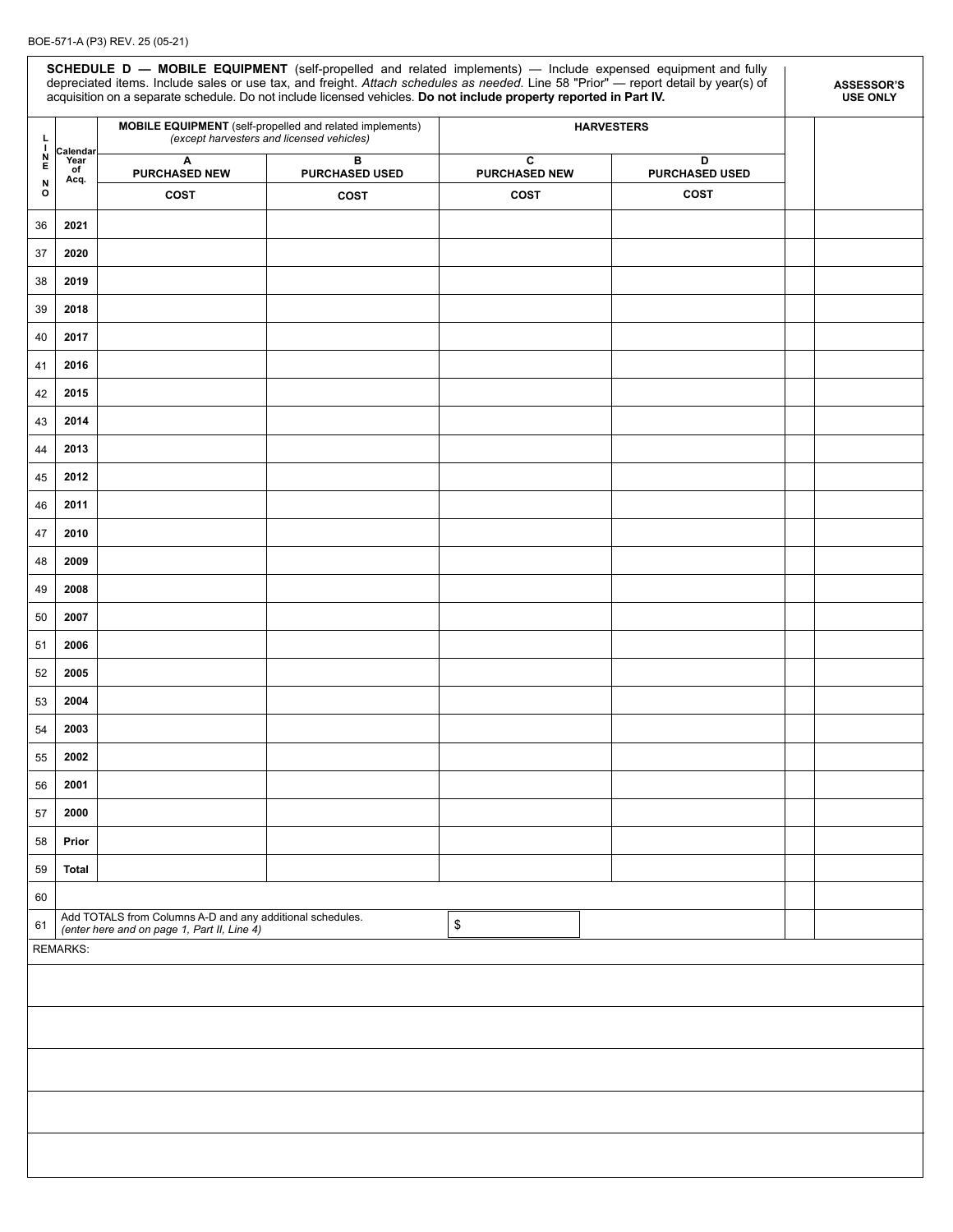#### BOE-571-A (P3) REV. 25 (05-21)

|                                      | SCHEDULE D - MOBILE EQUIPMENT (self-propelled and related implements) - Include expensed equipment and fully<br>depreciated items. Include sales or use tax, and freight. Attach schedules as needed. Line 58 "Prior" - report detail by year(s) of<br><b>ASSESSOR'S</b><br>acquisition on a separate schedule. Do not include licensed vehicles. Do not include property reported in Part IV.<br><b>USE ONLY</b> |                                                                                                          |                                                                                                       |                                                         |                   |  |  |  |  |  |  |
|--------------------------------------|-------------------------------------------------------------------------------------------------------------------------------------------------------------------------------------------------------------------------------------------------------------------------------------------------------------------------------------------------------------------------------------------------------------------|----------------------------------------------------------------------------------------------------------|-------------------------------------------------------------------------------------------------------|---------------------------------------------------------|-------------------|--|--|--|--|--|--|
| Ļ<br><sup>1</sup>                    |                                                                                                                                                                                                                                                                                                                                                                                                                   |                                                                                                          | MOBILE EQUIPMENT (self-propelled and related implements)<br>(except harvesters and licensed vehicles) |                                                         | <b>HARVESTERS</b> |  |  |  |  |  |  |
| $\frac{\mathsf{N}}{\mathsf{E}}$<br>N | Calendar<br>Year<br>of<br>Acq.                                                                                                                                                                                                                                                                                                                                                                                    | Α<br><b>PURCHASED NEW</b>                                                                                | B<br><b>PURCHASED USED</b>                                                                            | C<br>D<br><b>PURCHASED NEW</b><br><b>PURCHASED USED</b> |                   |  |  |  |  |  |  |
| o                                    |                                                                                                                                                                                                                                                                                                                                                                                                                   | <b>COST</b>                                                                                              | COST                                                                                                  | <b>COST</b>                                             | COST              |  |  |  |  |  |  |
| 36                                   | 2021                                                                                                                                                                                                                                                                                                                                                                                                              |                                                                                                          |                                                                                                       |                                                         |                   |  |  |  |  |  |  |
| 37                                   | 2020                                                                                                                                                                                                                                                                                                                                                                                                              |                                                                                                          |                                                                                                       |                                                         |                   |  |  |  |  |  |  |
| 38                                   | 2019                                                                                                                                                                                                                                                                                                                                                                                                              |                                                                                                          |                                                                                                       |                                                         |                   |  |  |  |  |  |  |
| 39                                   | 2018                                                                                                                                                                                                                                                                                                                                                                                                              |                                                                                                          |                                                                                                       |                                                         |                   |  |  |  |  |  |  |
| 40                                   | 2017                                                                                                                                                                                                                                                                                                                                                                                                              |                                                                                                          |                                                                                                       |                                                         |                   |  |  |  |  |  |  |
| 41                                   | 2016                                                                                                                                                                                                                                                                                                                                                                                                              |                                                                                                          |                                                                                                       |                                                         |                   |  |  |  |  |  |  |
| 42                                   | 2015                                                                                                                                                                                                                                                                                                                                                                                                              |                                                                                                          |                                                                                                       |                                                         |                   |  |  |  |  |  |  |
| 43                                   | 2014                                                                                                                                                                                                                                                                                                                                                                                                              |                                                                                                          |                                                                                                       |                                                         |                   |  |  |  |  |  |  |
| 44                                   | 2013                                                                                                                                                                                                                                                                                                                                                                                                              |                                                                                                          |                                                                                                       |                                                         |                   |  |  |  |  |  |  |
| 45                                   | 2012                                                                                                                                                                                                                                                                                                                                                                                                              |                                                                                                          |                                                                                                       |                                                         |                   |  |  |  |  |  |  |
| 46                                   | 2011                                                                                                                                                                                                                                                                                                                                                                                                              |                                                                                                          |                                                                                                       |                                                         |                   |  |  |  |  |  |  |
| 47                                   | 2010                                                                                                                                                                                                                                                                                                                                                                                                              |                                                                                                          |                                                                                                       |                                                         |                   |  |  |  |  |  |  |
| 48                                   | 2009                                                                                                                                                                                                                                                                                                                                                                                                              |                                                                                                          |                                                                                                       |                                                         |                   |  |  |  |  |  |  |
| 49                                   | 2008                                                                                                                                                                                                                                                                                                                                                                                                              |                                                                                                          |                                                                                                       |                                                         |                   |  |  |  |  |  |  |
| 50                                   | 2007                                                                                                                                                                                                                                                                                                                                                                                                              |                                                                                                          |                                                                                                       |                                                         |                   |  |  |  |  |  |  |
| 51                                   | 2006<br>2005                                                                                                                                                                                                                                                                                                                                                                                                      |                                                                                                          |                                                                                                       |                                                         |                   |  |  |  |  |  |  |
| 52<br>53                             | 2004                                                                                                                                                                                                                                                                                                                                                                                                              |                                                                                                          |                                                                                                       |                                                         |                   |  |  |  |  |  |  |
| 54                                   | 2003                                                                                                                                                                                                                                                                                                                                                                                                              |                                                                                                          |                                                                                                       |                                                         |                   |  |  |  |  |  |  |
| 55                                   | 2002                                                                                                                                                                                                                                                                                                                                                                                                              |                                                                                                          |                                                                                                       |                                                         |                   |  |  |  |  |  |  |
| 56                                   | 2001                                                                                                                                                                                                                                                                                                                                                                                                              |                                                                                                          |                                                                                                       |                                                         |                   |  |  |  |  |  |  |
| 57                                   | 2000                                                                                                                                                                                                                                                                                                                                                                                                              |                                                                                                          |                                                                                                       |                                                         |                   |  |  |  |  |  |  |
| 58                                   | Prior                                                                                                                                                                                                                                                                                                                                                                                                             |                                                                                                          |                                                                                                       |                                                         |                   |  |  |  |  |  |  |
| 59                                   | <b>Total</b>                                                                                                                                                                                                                                                                                                                                                                                                      |                                                                                                          |                                                                                                       |                                                         |                   |  |  |  |  |  |  |
| 60                                   |                                                                                                                                                                                                                                                                                                                                                                                                                   |                                                                                                          |                                                                                                       |                                                         |                   |  |  |  |  |  |  |
| 61                                   |                                                                                                                                                                                                                                                                                                                                                                                                                   | Add TOTALS from Columns A-D and any additional schedules.<br>(enter here and on page 1, Part II, Line 4) |                                                                                                       | \$                                                      |                   |  |  |  |  |  |  |
|                                      | <b>REMARKS:</b>                                                                                                                                                                                                                                                                                                                                                                                                   |                                                                                                          |                                                                                                       |                                                         |                   |  |  |  |  |  |  |
|                                      |                                                                                                                                                                                                                                                                                                                                                                                                                   |                                                                                                          |                                                                                                       |                                                         |                   |  |  |  |  |  |  |
|                                      |                                                                                                                                                                                                                                                                                                                                                                                                                   |                                                                                                          |                                                                                                       |                                                         |                   |  |  |  |  |  |  |
|                                      |                                                                                                                                                                                                                                                                                                                                                                                                                   |                                                                                                          |                                                                                                       |                                                         |                   |  |  |  |  |  |  |
|                                      |                                                                                                                                                                                                                                                                                                                                                                                                                   |                                                                                                          |                                                                                                       |                                                         |                   |  |  |  |  |  |  |
|                                      |                                                                                                                                                                                                                                                                                                                                                                                                                   |                                                                                                          |                                                                                                       |                                                         |                   |  |  |  |  |  |  |
|                                      |                                                                                                                                                                                                                                                                                                                                                                                                                   |                                                                                                          |                                                                                                       |                                                         |                   |  |  |  |  |  |  |
|                                      |                                                                                                                                                                                                                                                                                                                                                                                                                   |                                                                                                          |                                                                                                       |                                                         |                   |  |  |  |  |  |  |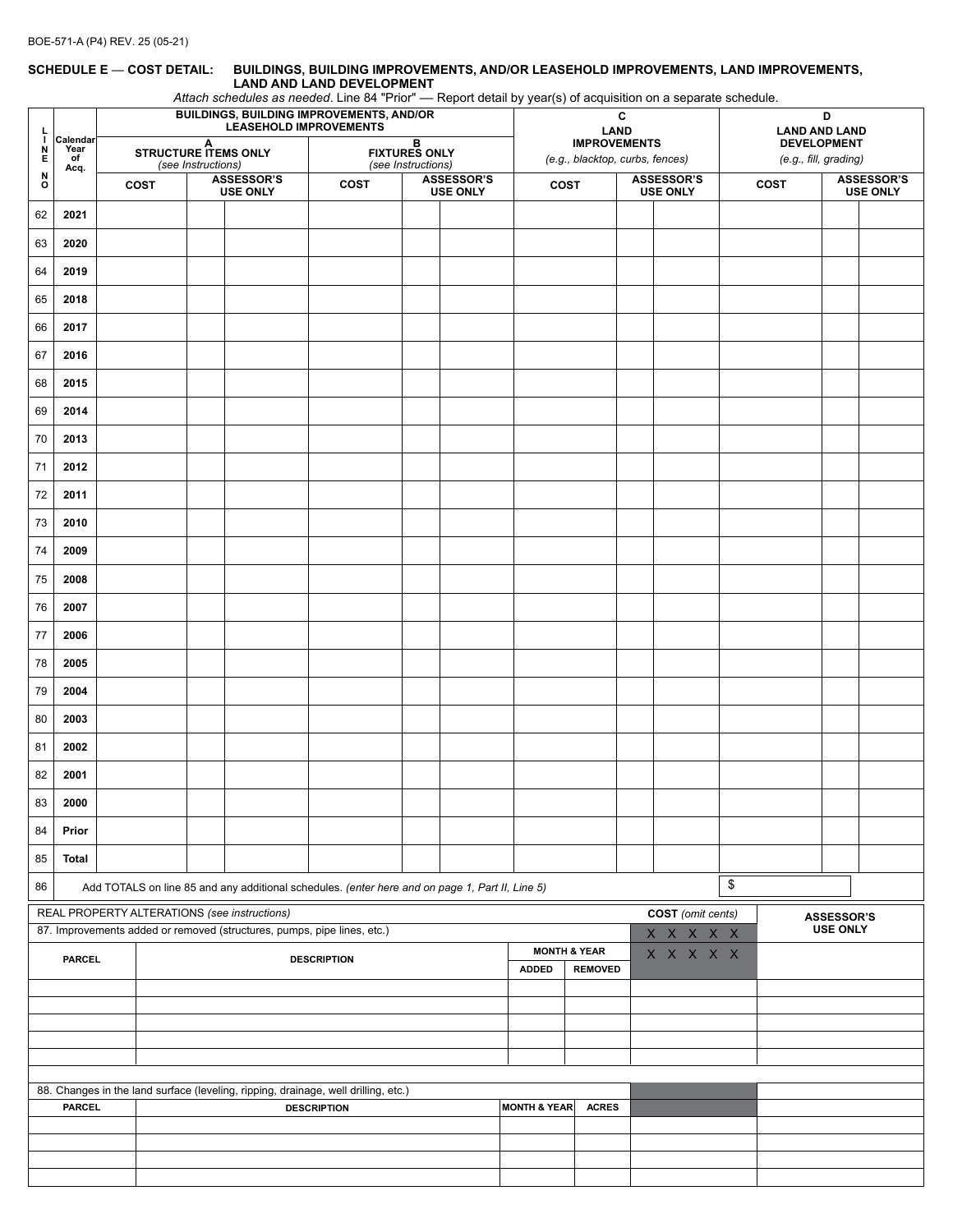#### **SCHEDULE E** — **COST DETAIL: BUILDINGS, BUILDING IMPROVEMENTS, AND/OR LEASEHOLD IMPROVEMENTS, LAND IMPROVEMENTS, LAND AND LAND DEVELOPMENT**

*Attach schedules as needed*. Line 84 "Prior" –– Report detail by year(s) of acquisition on a separate schedule.

| L                           |                                                                                                       | . .<br>BUILDINGS, BUILDING IMPROVEMENTS, AND/OR<br><b>LEASEHOLD IMPROVEMENTS</b> |                                                                                                                         |                    |                               | , ,<br>$\sqrt{2}$<br>C<br><b>LAND</b>                                              |                                                 |  |                         |              | D<br><b>LAND AND LAND</b>                              |                               |  |                                      |      |                                             |                                      |  |
|-----------------------------|-------------------------------------------------------------------------------------------------------|----------------------------------------------------------------------------------|-------------------------------------------------------------------------------------------------------------------------|--------------------|-------------------------------|------------------------------------------------------------------------------------|-------------------------------------------------|--|-------------------------|--------------|--------------------------------------------------------|-------------------------------|--|--------------------------------------|------|---------------------------------------------|--------------------------------------|--|
| H<br>N<br>Е                 | Calendar<br>Year<br>of                                                                                |                                                                                  | A<br>STRUCTURE ITEMS ONLY                                                                                               |                    |                               |                                                                                    | В<br><b>FIXTURES ONLY</b><br>(see Instructions) |  |                         |              | <b>IMPROVEMENTS</b><br>(e.g., blacktop, curbs, fences) |                               |  |                                      |      | <b>DEVELOPMENT</b><br>(e.g., fill, grading) |                                      |  |
| $\overset{\text{N}}{\circ}$ | Acq.                                                                                                  |                                                                                  | COST                                                                                                                    | (see Instructions) | ASSESSOR'S<br><b>USE ONLY</b> | <b>COST</b>                                                                        | <b>ASSESSOR'S</b><br><b>USE ONLY</b>            |  |                         | <b>COST</b>  |                                                        | ASSESSOR'S<br><b>USE ONLY</b> |  |                                      | COST |                                             | <b>ASSESSOR'S</b><br><b>USE ONLY</b> |  |
| 62                          | 2021                                                                                                  |                                                                                  |                                                                                                                         |                    |                               |                                                                                    |                                                 |  |                         |              |                                                        |                               |  |                                      |      |                                             |                                      |  |
| 63                          | 2020                                                                                                  |                                                                                  |                                                                                                                         |                    |                               |                                                                                    |                                                 |  |                         |              |                                                        |                               |  |                                      |      |                                             |                                      |  |
| 64                          | 2019                                                                                                  |                                                                                  |                                                                                                                         |                    |                               |                                                                                    |                                                 |  |                         |              |                                                        |                               |  |                                      |      |                                             |                                      |  |
| 65                          | 2018                                                                                                  |                                                                                  |                                                                                                                         |                    |                               |                                                                                    |                                                 |  |                         |              |                                                        |                               |  |                                      |      |                                             |                                      |  |
| 66                          | 2017                                                                                                  |                                                                                  |                                                                                                                         |                    |                               |                                                                                    |                                                 |  |                         |              |                                                        |                               |  |                                      |      |                                             |                                      |  |
| 67                          | 2016                                                                                                  |                                                                                  |                                                                                                                         |                    |                               |                                                                                    |                                                 |  |                         |              |                                                        |                               |  |                                      |      |                                             |                                      |  |
| 68                          | 2015                                                                                                  |                                                                                  |                                                                                                                         |                    |                               |                                                                                    |                                                 |  |                         |              |                                                        |                               |  |                                      |      |                                             |                                      |  |
| 69                          | 2014                                                                                                  |                                                                                  |                                                                                                                         |                    |                               |                                                                                    |                                                 |  |                         |              |                                                        |                               |  |                                      |      |                                             |                                      |  |
| 70                          | 2013                                                                                                  |                                                                                  |                                                                                                                         |                    |                               |                                                                                    |                                                 |  |                         |              |                                                        |                               |  |                                      |      |                                             |                                      |  |
| 71                          | 2012                                                                                                  |                                                                                  |                                                                                                                         |                    |                               |                                                                                    |                                                 |  |                         |              |                                                        |                               |  |                                      |      |                                             |                                      |  |
| 72                          | 2011                                                                                                  |                                                                                  |                                                                                                                         |                    |                               |                                                                                    |                                                 |  |                         |              |                                                        |                               |  |                                      |      |                                             |                                      |  |
| 73                          | 2010                                                                                                  |                                                                                  |                                                                                                                         |                    |                               |                                                                                    |                                                 |  |                         |              |                                                        |                               |  |                                      |      |                                             |                                      |  |
| 74                          | 2009                                                                                                  |                                                                                  |                                                                                                                         |                    |                               |                                                                                    |                                                 |  |                         |              |                                                        |                               |  |                                      |      |                                             |                                      |  |
| 75                          | 2008                                                                                                  |                                                                                  |                                                                                                                         |                    |                               |                                                                                    |                                                 |  |                         |              |                                                        |                               |  |                                      |      |                                             |                                      |  |
| 76                          | 2007                                                                                                  |                                                                                  |                                                                                                                         |                    |                               |                                                                                    |                                                 |  |                         |              |                                                        |                               |  |                                      |      |                                             |                                      |  |
| $77$                        | 2006                                                                                                  |                                                                                  |                                                                                                                         |                    |                               |                                                                                    |                                                 |  |                         |              |                                                        |                               |  |                                      |      |                                             |                                      |  |
| 78                          | 2005                                                                                                  |                                                                                  |                                                                                                                         |                    |                               |                                                                                    |                                                 |  |                         |              |                                                        |                               |  |                                      |      |                                             |                                      |  |
| 79                          | 2004                                                                                                  |                                                                                  |                                                                                                                         |                    |                               |                                                                                    |                                                 |  |                         |              |                                                        |                               |  |                                      |      |                                             |                                      |  |
| 80                          | 2003                                                                                                  |                                                                                  |                                                                                                                         |                    |                               |                                                                                    |                                                 |  |                         |              |                                                        |                               |  |                                      |      |                                             |                                      |  |
| 81                          | 2002                                                                                                  |                                                                                  |                                                                                                                         |                    |                               |                                                                                    |                                                 |  |                         |              |                                                        |                               |  |                                      |      |                                             |                                      |  |
| 82                          | 2001                                                                                                  |                                                                                  |                                                                                                                         |                    |                               |                                                                                    |                                                 |  |                         |              |                                                        |                               |  |                                      |      |                                             |                                      |  |
| 83                          | 2000                                                                                                  |                                                                                  |                                                                                                                         |                    |                               |                                                                                    |                                                 |  |                         |              |                                                        |                               |  |                                      |      |                                             |                                      |  |
| 84                          | Prior                                                                                                 |                                                                                  |                                                                                                                         |                    |                               |                                                                                    |                                                 |  |                         |              |                                                        |                               |  |                                      |      |                                             |                                      |  |
| 85                          | Total                                                                                                 |                                                                                  |                                                                                                                         |                    |                               |                                                                                    |                                                 |  |                         |              |                                                        |                               |  |                                      |      |                                             |                                      |  |
| 86                          | \$<br>Add TOTALS on line 85 and any additional schedules. (enter here and on page 1, Part II, Line 5) |                                                                                  |                                                                                                                         |                    |                               |                                                                                    |                                                 |  |                         |              |                                                        |                               |  |                                      |      |                                             |                                      |  |
|                             |                                                                                                       |                                                                                  | REAL PROPERTY ALTERATIONS (see instructions)<br>87. Improvements added or removed (structures, pumps, pipe lines, etc.) |                    |                               |                                                                                    |                                                 |  |                         |              |                                                        | COST (omit cents)             |  | <b>ASSESSOR'S</b><br><b>USE ONLY</b> |      |                                             |                                      |  |
|                             | <b>PARCEL</b>                                                                                         |                                                                                  | X X X X X<br><b>MONTH &amp; YEAR</b><br>X X X X X<br><b>DESCRIPTION</b>                                                 |                    |                               |                                                                                    |                                                 |  |                         |              |                                                        |                               |  |                                      |      |                                             |                                      |  |
|                             |                                                                                                       |                                                                                  |                                                                                                                         |                    |                               | <b>ADDED</b><br><b>REMOVED</b>                                                     |                                                 |  |                         |              |                                                        |                               |  |                                      |      |                                             |                                      |  |
|                             |                                                                                                       |                                                                                  |                                                                                                                         |                    |                               |                                                                                    |                                                 |  |                         |              |                                                        |                               |  |                                      |      |                                             |                                      |  |
|                             |                                                                                                       |                                                                                  |                                                                                                                         |                    |                               |                                                                                    |                                                 |  |                         |              |                                                        |                               |  |                                      |      |                                             |                                      |  |
|                             |                                                                                                       |                                                                                  |                                                                                                                         |                    |                               |                                                                                    |                                                 |  |                         |              |                                                        |                               |  |                                      |      |                                             |                                      |  |
|                             |                                                                                                       |                                                                                  |                                                                                                                         |                    |                               | 88. Changes in the land surface (leveling, ripping, drainage, well drilling, etc.) |                                                 |  |                         |              |                                                        |                               |  |                                      |      |                                             |                                      |  |
|                             | <b>PARCEL</b>                                                                                         |                                                                                  |                                                                                                                         |                    |                               | <b>DESCRIPTION</b>                                                                 |                                                 |  | <b>MONTH &amp; YEAR</b> | <b>ACRES</b> |                                                        |                               |  |                                      |      |                                             |                                      |  |
|                             |                                                                                                       |                                                                                  |                                                                                                                         |                    |                               |                                                                                    |                                                 |  |                         |              |                                                        |                               |  |                                      |      |                                             |                                      |  |
|                             |                                                                                                       |                                                                                  |                                                                                                                         |                    |                               |                                                                                    |                                                 |  |                         |              |                                                        |                               |  |                                      |      |                                             |                                      |  |
|                             |                                                                                                       |                                                                                  |                                                                                                                         |                    |                               |                                                                                    |                                                 |  |                         |              |                                                        |                               |  |                                      |      |                                             |                                      |  |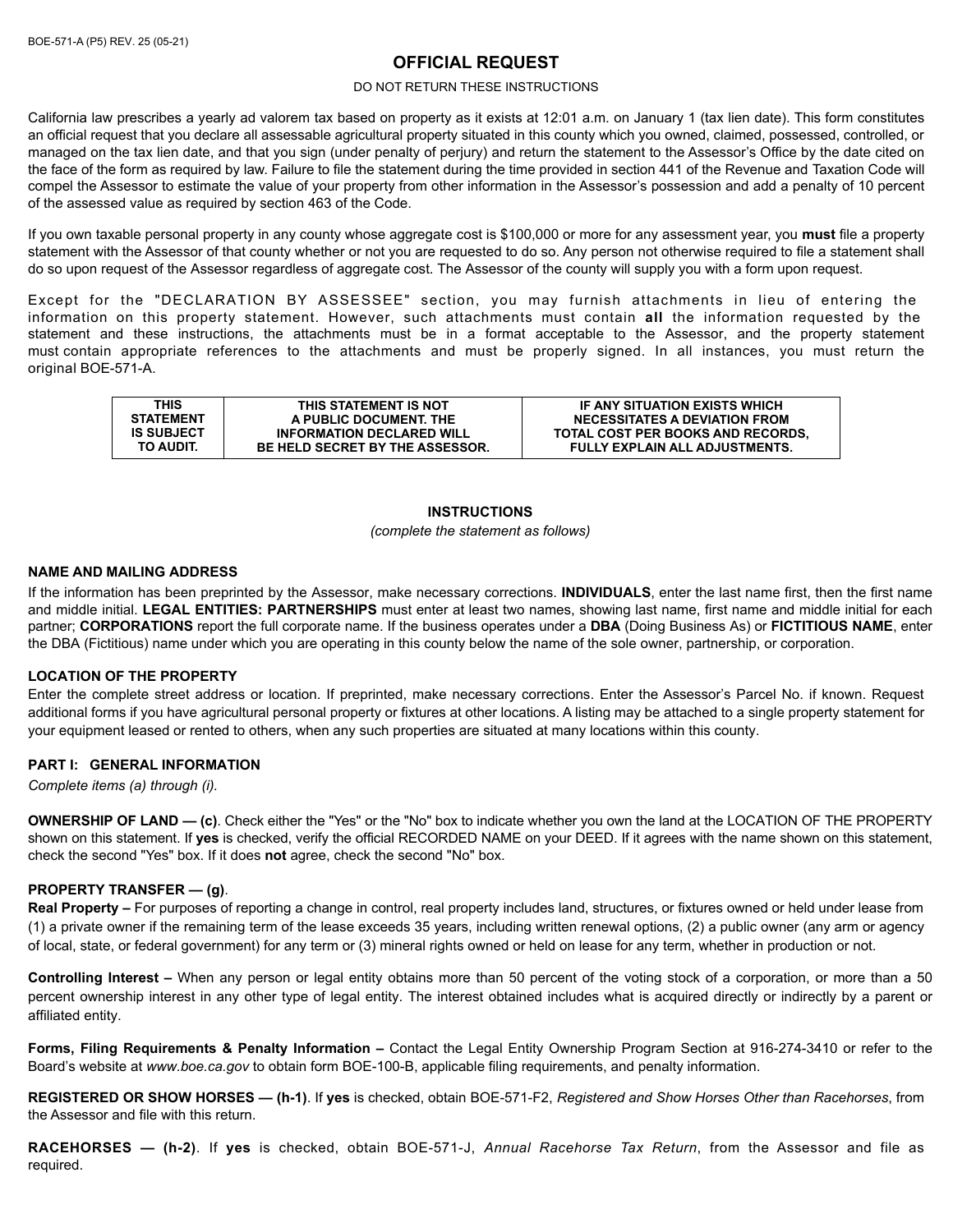# **OFFICIAL REQUEST**

#### DO NOT RETURN THESE INSTRUCTIONS

California law prescribes a yearly ad valorem tax based on property as it exists at 12:01 a.m. on January 1 (tax lien date). This form constitutes an official request that you declare all assessable agricultural property situated in this county which you owned, claimed, possessed, controlled, or managed on the tax lien date, and that you sign (under penalty of perjury) and return the statement to the Assessor's Office by the date cited on the face of the form as required by law. Failure to file the statement during the time provided in section 441 of the Revenue and Taxation Code will compel the Assessor to estimate the value of your property from other information in the Assessor's possession and add a penalty of 10 percent of the assessed value as required by section 463 of the Code.

If you own taxable personal property in any county whose aggregate cost is \$100,000 or more for any assessment year, you **must** file a property statement with the Assessor of that county whether or not you are requested to do so. Any person not otherwise required to file a statement shall do so upon request of the Assessor regardless of aggregate cost. The Assessor of the county will supply you with a form upon request.

Except for the "DECLARATION BY ASSESSEE" section, you may furnish attachments in lieu of entering the information on this property statement. However, such attachments must contain **all** the information requested by the statement and these instructions, the attachments must be in a format acceptable to the Assessor, and the property statement must contain appropriate references to the attachments and must be properly signed. In all instances, you must return the original BOE-571-A.

| THIS              | THIS STATEMENT IS NOT                  | IF ANY SITUATION EXISTS WHICH         |
|-------------------|----------------------------------------|---------------------------------------|
| <b>STATEMENT</b>  | A PUBLIC DOCUMENT. THE                 | <b>NECESSITATES A DEVIATION FROM</b>  |
| <b>IS SUBJECT</b> | <b>INFORMATION DECLARED WILL</b>       | TOTAL COST PER BOOKS AND RECORDS.     |
| TO AUDIT.         | <b>BE HELD SECRET BY THE ASSESSOR.</b> | <b>FULLY EXPLAIN ALL ADJUSTMENTS.</b> |

# **INSTRUCTIONS**

#### *(complete the statement as follows)*

# **NAME AND MAILING ADDRESS**

If the information has been preprinted by the Assessor, make necessary corrections. **INDIVIDUALS**, enter the last name first, then the first name and middle initial. **LEGAL ENTITIES: PARTNERSHIPS** must enter at least two names, showing last name, first name and middle initial for each partner; **CORPORATIONS** report the full corporate name. If the business operates under a **DBA** (Doing Business As) or **FICTITIOUS NAME**, enter the DBA (Fictitious) name under which you are operating in this county below the name of the sole owner, partnership, or corporation.

### **LOCATION OF THE PROPERTY**

Enter the complete street address or location. If preprinted, make necessary corrections. Enter the Assessor's Parcel No. if known. Request additional forms if you have agricultural personal property or fixtures at other locations. A listing may be attached to a single property statement for your equipment leased or rented to others, when any such properties are situated at many locations within this county.

### **PART I: GENERAL INFORMATION**

*Complete items (a) through (i).* 

**OWNERSHIP OF LAND — (c)**. Check either the "Yes" or the "No" box to indicate whether you own the land at the LOCATION OF THE PROPERTY shown on this statement. If **yes** is checked, verify the official RECORDED NAME on your DEED. If it agrees with the name shown on this statement, check the second "Yes" box. If it does **not** agree, check the second "No" box.

### **PROPERTY TRANSFER — (g)**.

**Real Property –** For purposes of reporting a change in control, real property includes land, structures, or fixtures owned or held under lease from (1) a private owner if the remaining term of the lease exceeds 35 years, including written renewal options, (2) a public owner (any arm or agency of local, state, or federal government) for any term or (3) mineral rights owned or held on lease for any term, whether in production or not.

**Controlling Interest –** When any person or legal entity obtains more than 50 percent of the voting stock of a corporation, or more than a 50 percent ownership interest in any other type of legal entity. The interest obtained includes what is acquired directly or indirectly by a parent or affiliated entity.

**Forms, Filing Requirements & Penalty Information –** Contact the Legal Entity Ownership Program Section at 916-274-3410 or refer to the Board's website at *www.boe.ca.gov* to obtain form BOE-100-B, applicable filing requirements, and penalty information.

**REGISTERED OR SHOW HORSES — (h-1)**. If **yes** is checked, obtain BOE-571-F2, *Registered and Show Horses Other than Racehorses*, from the Assessor and file with this return.

**RACEHORSES — (h-2)**. If **yes** is checked, obtain BOE-571-J, *Annual Racehorse Tax Return*, from the Assessor and file as required.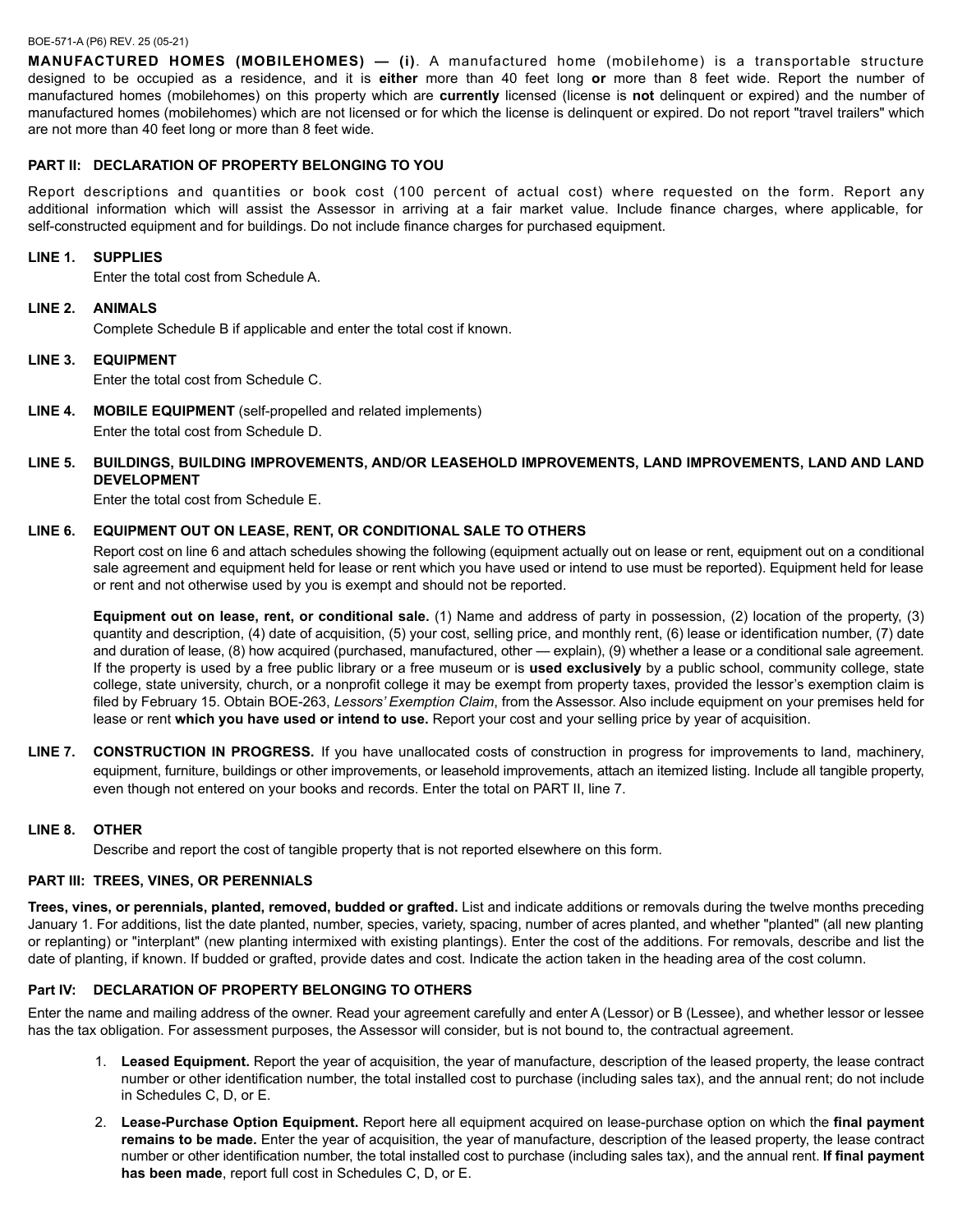#### BOE-571-A (P6) REV. 25 (05-21)

**MANUFACTURED HOMES (MOBILEHOMES) — (i)**. A manufactured home (mobilehome) is a transportable structure designed to be occupied as a residence, and it is **either** more than 40 feet long **or** more than 8 feet wide. Report the number of manufactured homes (mobilehomes) on this property which are **currently** licensed (license is **not** delinquent or expired) and the number of manufactured homes (mobilehomes) which are not licensed or for which the license is delinquent or expired. Do not report "travel trailers" which are not more than 40 feet long or more than 8 feet wide.

### **PART II: DECLARATION OF PROPERTY BELONGING TO YOU**

Report descriptions and quantities or book cost (100 percent of actual cost) where requested on the form. Report any additional information which will assist the Assessor in arriving at a fair market value. Include finance charges, where applicable, for self-constructed equipment and for buildings. Do not include finance charges for purchased equipment.

### **LINE 1. SUPPLIES**

Enter the total cost from Schedule A.

#### **LINE 2. ANIMALS**

Complete Schedule B if applicable and enter the total cost if known.

### **LINE 3. EQUIPMENT**

Enter the total cost from Schedule C.

**LINE 4. MOBILE EQUIPMENT** (self-propelled and related implements) Enter the total cost from Schedule D.

# **LINE 5. BUILDINGS, BUILDING IMPROVEMENTS, AND/OR LEASEHOLD IMPROVEMENTS, LAND IMPROVEMENTS, LAND AND LAND DEVELOPMENT**

Enter the total cost from Schedule E.

### **LINE 6. EQUIPMENT OUT ON LEASE, RENT, OR CONDITIONAL SALE TO OTHERS**

Report cost on line 6 and attach schedules showing the following (equipment actually out on lease or rent, equipment out on a conditional sale agreement and equipment held for lease or rent which you have used or intend to use must be reported). Equipment held for lease or rent and not otherwise used by you is exempt and should not be reported.

**Equipment out on lease, rent, or conditional sale.** (1) Name and address of party in possession, (2) location of the property, (3) quantity and description, (4) date of acquisition, (5) your cost, selling price, and monthly rent, (6) lease or identification number, (7) date and duration of lease, (8) how acquired (purchased, manufactured, other — explain), (9) whether a lease or a conditional sale agreement. If the property is used by a free public library or a free museum or is **used exclusively** by a public school, community college, state college, state university, church, or a nonprofit college it may be exempt from property taxes, provided the lessor's exemption claim is filed by February 15. Obtain BOE-263, *Lessors' Exemption Claim*, from the Assessor. Also include equipment on your premises held for lease or rent **which you have used or intend to use.** Report your cost and your selling price by year of acquisition.

**LINE 7. CONSTRUCTION IN PROGRESS.** If you have unallocated costs of construction in progress for improvements to land, machinery, equipment, furniture, buildings or other improvements, or leasehold improvements, attach an itemized listing. Include all tangible property, even though not entered on your books and records. Enter the total on PART II, line 7.

### **LINE 8. OTHER**

Describe and report the cost of tangible property that is not reported elsewhere on this form.

# **PART III: TREES, VINES, OR PERENNIALS**

**Trees, vines, or perennials, planted, removed, budded or grafted.** List and indicate additions or removals during the twelve months preceding January 1. For additions, list the date planted, number, species, variety, spacing, number of acres planted, and whether "planted" (all new planting or replanting) or "interplant" (new planting intermixed with existing plantings). Enter the cost of the additions. For removals, describe and list the date of planting, if known. If budded or grafted, provide dates and cost. Indicate the action taken in the heading area of the cost column.

### **Part IV: DECLARATION OF PROPERTY BELONGING TO OTHERS**

Enter the name and mailing address of the owner. Read your agreement carefully and enter A (Lessor) or B (Lessee), and whether lessor or lessee has the tax obligation. For assessment purposes, the Assessor will consider, but is not bound to, the contractual agreement.

- 1. **Leased Equipment.** Report the year of acquisition, the year of manufacture, description of the leased property, the lease contract number or other identification number, the total installed cost to purchase (including sales tax), and the annual rent; do not include in Schedules C, D, or E.
- 2. **Lease-Purchase Option Equipment.** Report here all equipment acquired on lease-purchase option on which the **final payment remains to be made.** Enter the year of acquisition, the year of manufacture, description of the leased property, the lease contract number or other identification number, the total installed cost to purchase (including sales tax), and the annual rent. **If final payment has been made**, report full cost in Schedules C, D, or E.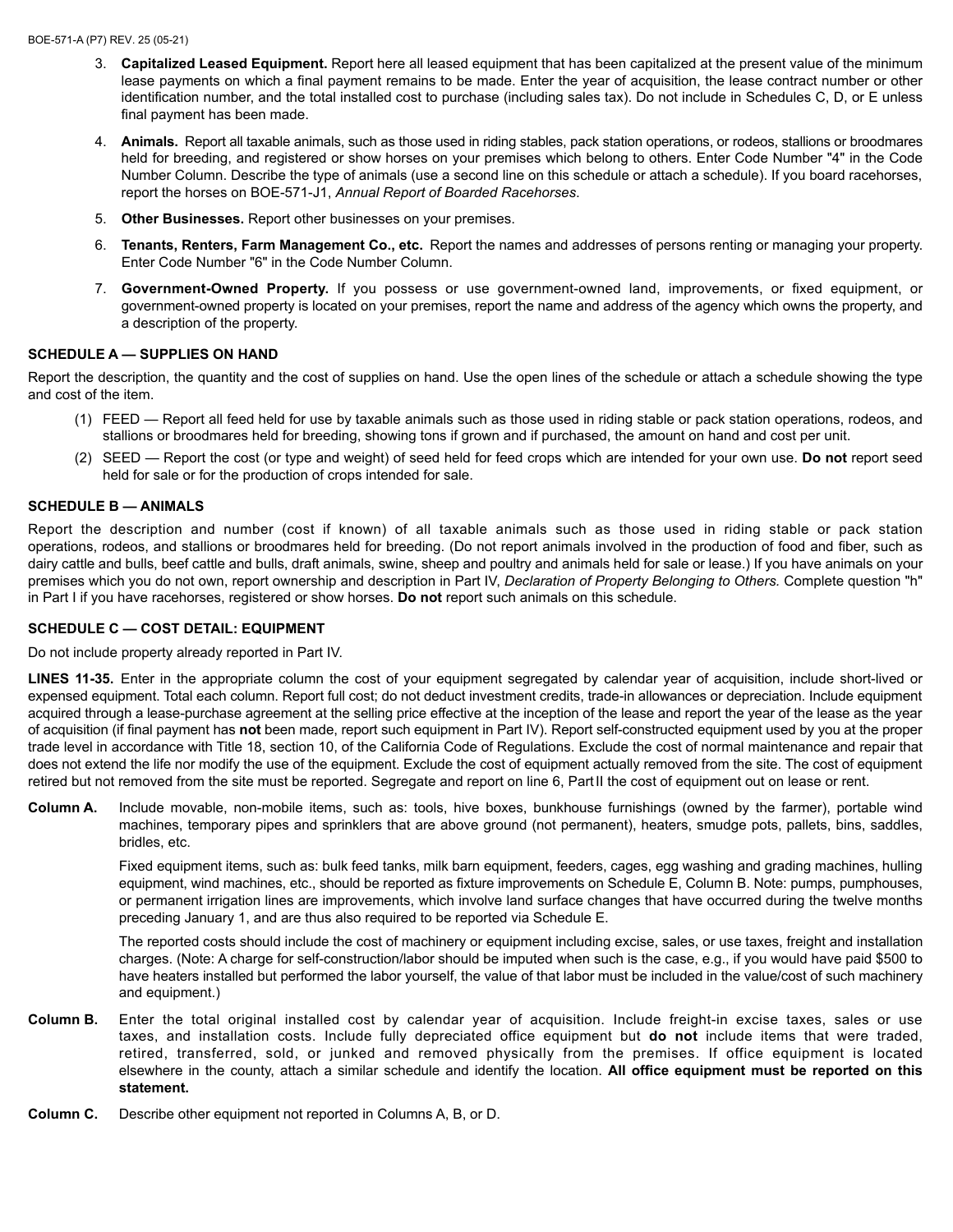- 3. **Capitalized Leased Equipment.** Report here all leased equipment that has been capitalized at the present value of the minimum lease payments on which a final payment remains to be made. Enter the year of acquisition, the lease contract number or other identification number, and the total installed cost to purchase (including sales tax). Do not include in Schedules C, D, or E unless final payment has been made.
- 4. **Animals.** Report all taxable animals, such as those used in riding stables, pack station operations, or rodeos, stallions or broodmares held for breeding, and registered or show horses on your premises which belong to others. Enter Code Number "4" in the Code Number Column. Describe the type of animals (use a second line on this schedule or attach a schedule). If you board racehorses, report the horses on BOE-571-J1, *Annual Report of Boarded Racehorses*.
- 5. **Other Businesses.** Report other businesses on your premises.
- 6. **Tenants, Renters, Farm Management Co., etc.** Report the names and addresses of persons renting or managing your property. Enter Code Number "6" in the Code Number Column.
- 7. **Government-Owned Property.** If you possess or use government-owned land, improvements, or fixed equipment, or government-owned property is located on your premises, report the name and address of the agency which owns the property, and a description of the property.

### **SCHEDULE A — SUPPLIES ON HAND**

Report the description, the quantity and the cost of supplies on hand. Use the open lines of the schedule or attach a schedule showing the type and cost of the item.

- (1) FEED Report all feed held for use by taxable animals such as those used in riding stable or pack station operations, rodeos, and stallions or broodmares held for breeding, showing tons if grown and if purchased, the amount on hand and cost per unit.
- (2) SEED Report the cost (or type and weight) of seed held for feed crops which are intended for your own use. **Do not** report seed held for sale or for the production of crops intended for sale.

# **SCHEDULE B — ANIMALS**

Report the description and number (cost if known) of all taxable animals such as those used in riding stable or pack station operations, rodeos, and stallions or broodmares held for breeding. (Do not report animals involved in the production of food and fiber, such as dairy cattle and bulls, beef cattle and bulls, draft animals, swine, sheep and poultry and animals held for sale or lease.) If you have animals on your premises which you do not own, report ownership and description in Part IV, *Declaration of Property Belonging to Others.* Complete question "h" in Part I if you have racehorses, registered or show horses. **Do not** report such animals on this schedule.

### **SCHEDULE C — COST DETAIL: EQUIPMENT**

Do not include property already reported in Part IV.

**LINES 11-35.** Enter in the appropriate column the cost of your equipment segregated by calendar year of acquisition, include short-lived or expensed equipment. Total each column. Report full cost; do not deduct investment credits, trade-in allowances or depreciation. Include equipment acquired through a lease-purchase agreement at the selling price effective at the inception of the lease and report the year of the lease as the year of acquisition (if final payment has **not** been made, report such equipment in Part IV). Report self-constructed equipment used by you at the proper trade level in accordance with Title 18, section 10, of the California Code of Regulations. Exclude the cost of normal maintenance and repair that does not extend the life nor modify the use of the equipment. Exclude the cost of equipment actually removed from the site. The cost of equipment retired but not removed from the site must be reported. Segregate and report on line 6, Part II the cost of equipment out on lease or rent.

**Column A.** Include movable, non-mobile items, such as: tools, hive boxes, bunkhouse furnishings (owned by the farmer), portable wind machines, temporary pipes and sprinklers that are above ground (not permanent), heaters, smudge pots, pallets, bins, saddles, bridles, etc.

Fixed equipment items, such as: bulk feed tanks, milk barn equipment, feeders, cages, egg washing and grading machines, hulling equipment, wind machines, etc., should be reported as fixture improvements on Schedule E, Column B. Note: pumps, pumphouses, or permanent irrigation lines are improvements, which involve land surface changes that have occurred during the twelve months preceding January 1, and are thus also required to be reported via Schedule E.

The reported costs should include the cost of machinery or equipment including excise, sales, or use taxes, freight and installation charges. (Note: A charge for self-construction/labor should be imputed when such is the case, e.g., if you would have paid \$500 to have heaters installed but performed the labor yourself, the value of that labor must be included in the value/cost of such machinery and equipment.)

- **Column B.** Enter the total original installed cost by calendar year of acquisition. Include freight-in excise taxes, sales or use taxes, and installation costs. Include fully depreciated office equipment but **do not** include items that were traded, retired, transferred, sold, or junked and removed physically from the premises. If office equipment is located elsewhere in the county, attach a similar schedule and identify the location. **All office equipment must be reported on this statement.**
- **Column C.** Describe other equipment not reported in Columns A, B, or D.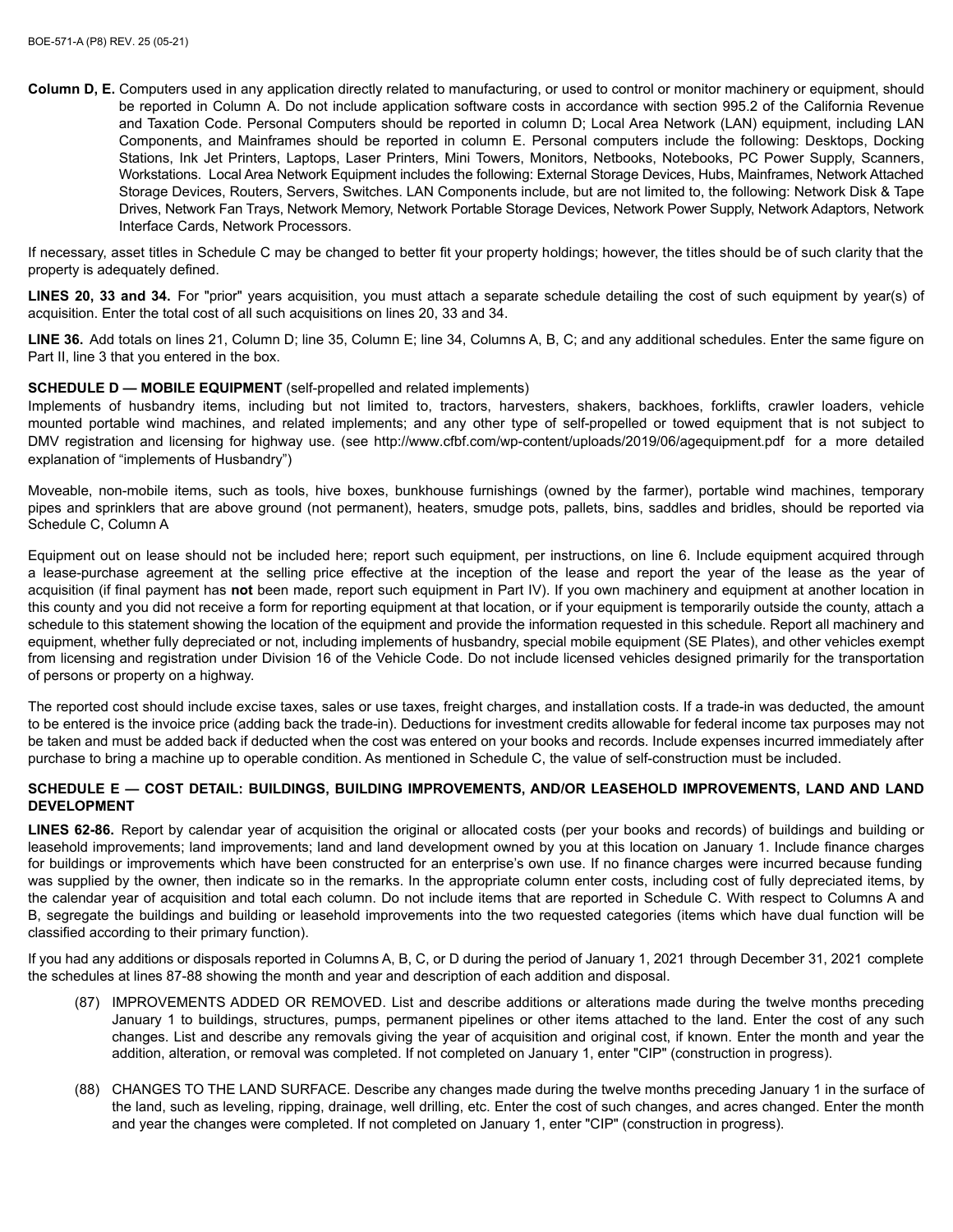**Column D, E.** Computers used in any application directly related to manufacturing, or used to control or monitor machinery or equipment, should be reported in Column A. Do not include application software costs in accordance with section 995.2 of the California Revenue and Taxation Code. Personal Computers should be reported in column D; Local Area Network (LAN) equipment, including LAN Components, and Mainframes should be reported in column E. Personal computers include the following: Desktops, Docking Stations, Ink Jet Printers, Laptops, Laser Printers, Mini Towers, Monitors, Netbooks, Notebooks, PC Power Supply, Scanners, Workstations. Local Area Network Equipment includes the following: External Storage Devices, Hubs, Mainframes, Network Attached Storage Devices, Routers, Servers, Switches. LAN Components include, but are not limited to, the following: Network Disk & Tape Drives, Network Fan Trays, Network Memory, Network Portable Storage Devices, Network Power Supply, Network Adaptors, Network Interface Cards, Network Processors.

If necessary, asset titles in Schedule C may be changed to better fit your property holdings; however, the titles should be of such clarity that the property is adequately defined.

LINES 20, 33 and 34. For "prior" years acquisition, you must attach a separate schedule detailing the cost of such equipment by year(s) of acquisition. Enter the total cost of all such acquisitions on lines 20, 33 and 34.

LINE 36. Add totals on lines 21, Column D; line 35, Column E; line 34, Columns A, B, C; and any additional schedules. Enter the same figure on Part II, line 3 that you entered in the box.

# **SCHEDULE D — MOBILE EQUIPMENT** (self-propelled and related implements)

Implements of husbandry items, including but not limited to, tractors, harvesters, shakers, backhoes, forklifts, crawler loaders, vehicle mounted portable wind machines, and related implements; and any other type of self-propelled or towed equipment that is not subject to DMV registration and licensing for highway use. (see http://www.cfbf.com/wp-content/uploads/2019/06/agequipment.pdf for a more detailed explanation of "implements of Husbandry")

Moveable, non-mobile items, such as tools, hive boxes, bunkhouse furnishings (owned by the farmer), portable wind machines, temporary pipes and sprinklers that are above ground (not permanent), heaters, smudge pots, pallets, bins, saddles and bridles, should be reported via Schedule C. Column A

Equipment out on lease should not be included here; report such equipment, per instructions, on line 6. Include equipment acquired through a lease-purchase agreement at the selling price effective at the inception of the lease and report the year of the lease as the year of acquisition (if final payment has not been made, report such equipment in Part IV). If you own machinery and equipment at another location in this county and you did not receive a form for reporting equipment at that location, or if your equipment is temporarily outside the county, attach a schedule to this statement showing the location of the equipment and provide the information requested in this schedule. Report all machinery and equipment, whether fully depreciated or not, including implements of husbandry, special mobile equipment (SE Plates), and other vehicles exempt from licensing and registration under Division 16 of the Vehicle Code. Do not include licensed vehicles designed primarily for the transportation of persons or property on a highway.

The reported cost should include excise taxes, sales or use taxes, freight charges, and installation costs. If a trade-in was deducted, the amount to be entered is the invoice price (adding back the trade-in). Deductions for investment credits allowable for federal income tax purposes may not be taken and must be added back if deducted when the cost was entered on your books and records. Include expenses incurred immediately after purchase to bring a machine up to operable condition. As mentioned in Schedule C, the value of self-construction must be included.

### SCHEDULE E - COST DETAIL: BUILDINGS, BUILDING IMPROVEMENTS, AND/OR LEASEHOLD IMPROVEMENTS, LAND AND LAND **DEVELOPMENT**

LINES 62-86. Report by calendar year of acquisition the original or allocated costs (per your books and records) of buildings and building or leasehold improvements; land improvements; land and land development owned by you at this location on January 1. Include finance charges for buildings or improvements which have been constructed for an enterprise's own use. If no finance charges were incurred because funding was supplied by the owner, then indicate so in the remarks. In the appropriate column enter costs, including cost of fully depreciated items, by the calendar year of acquisition and total each column. Do not include items that are reported in Schedule C. With respect to Columns A and B, segregate the buildings and building or leasehold improvements into the two requested categories (items which have dual function will be classified according to their primary function).

If you had any additions or disposals reported in Columns A, B, C, or D during the period of January 1, 2021 through December 31, 2021 complete the schedules at lines 87-88 showing the month and year and description of each addition and disposal.

- (87) IMPROVEMENTS ADDED OR REMOVED. List and describe additions or alterations made during the twelve months preceding January 1 to buildings, structures, pumps, permanent pipelines or other items attached to the land. Enter the cost of any such changes. List and describe any removals giving the year of acquisition and original cost, if known. Enter the month and year the addition, alteration, or removal was completed. If not completed on January 1, enter "CIP" (construction in progress).
- (88) CHANGES TO THE LAND SURFACE. Describe any changes made during the twelve months preceding January 1 in the surface of the land, such as leveling, ripping, drainage, well drilling, etc. Enter the cost of such changes, and acres changed. Enter the month and year the changes were completed. If not completed on January 1, enter "CIP" (construction in progress).